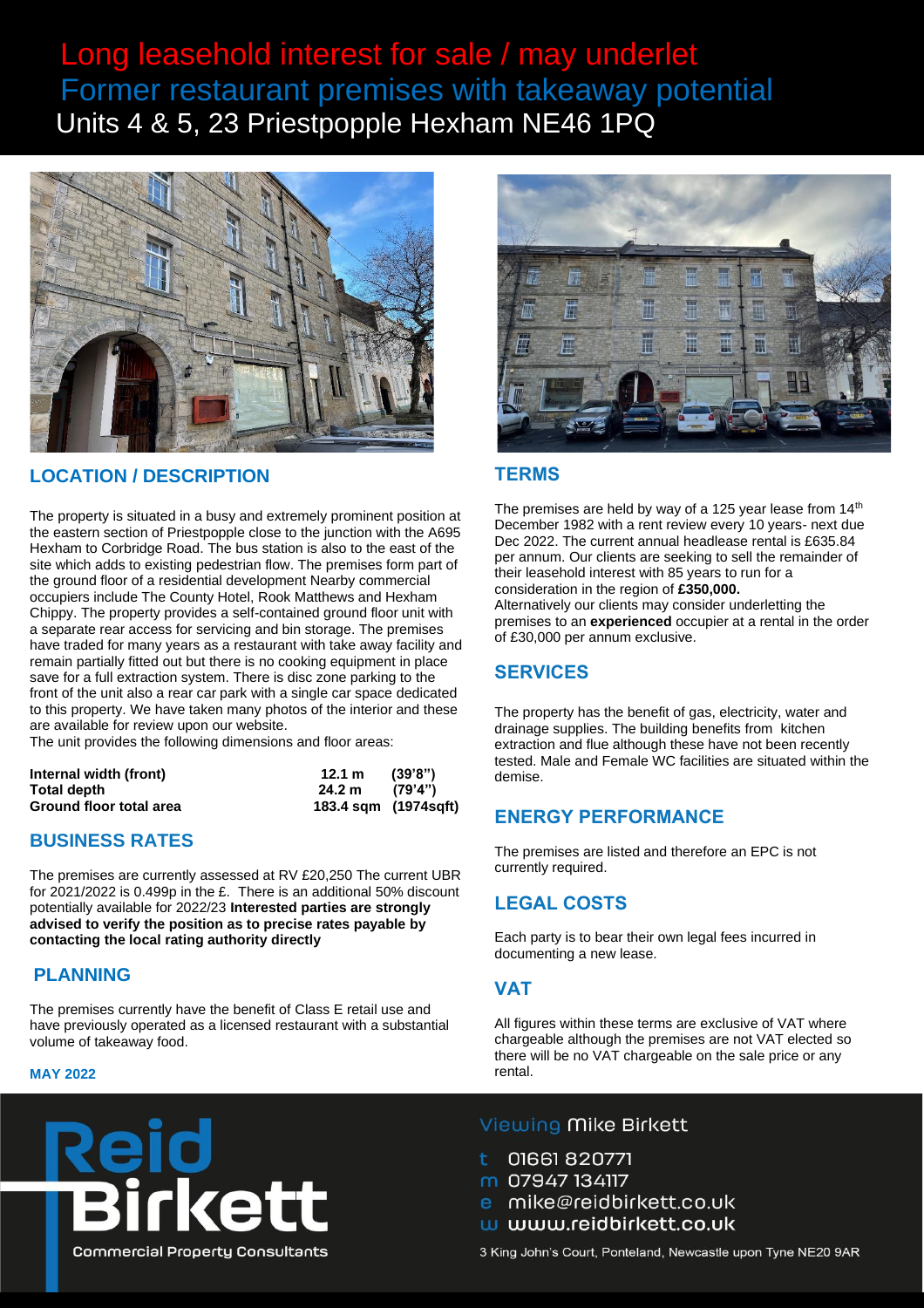# Long leasehold interest for sale / may underlet Former restaurant premises with takeaway potential Units 4 & 5, 23 Priestpopple Hexham NE46 1PQ



### **LOCATION / DESCRIPTION**

The property is situated in a busy and extremely prominent position at the eastern section of Priestpopple close to the junction with the A695 Hexham to Corbridge Road. The bus station is also to the east of the site which adds to existing pedestrian flow. The premises form part of the ground floor of a residential development Nearby commercial occupiers include The County Hotel, Rook Matthews and Hexham Chippy. The property provides a self-contained ground floor unit with a separate rear access for servicing and bin storage. The premises have traded for many years as a restaurant with take away facility and remain partially fitted out but there is no cooking equipment in place save for a full extraction system. There is disc zone parking to the front of the unit also a rear car park with a single car space dedicated to this property. We have taken many photos of the interior and these are available for review upon our website.

The unit provides the following dimensions and floor areas:

| Internal width (front)  | 12.1 m                | (39'8")  |
|-------------------------|-----------------------|----------|
| Total depth             | 24.2 m                | (79'4'') |
| Ground floor total area | 183.4 sqm (1974 sqft) |          |

### **BUSINESS RATES**

The premises are currently assessed at RV £20,250 The current UBR for 2021/2022 is 0.499p in the £. There is an additional 50% discount potentially available for 2022/23 **Interested parties are strongly advised to verify the position as to precise rates payable by contacting the local rating authority directly**

### **PLANNING**

The premises currently have the benefit of Class E retail use and have previously operated as a licensed restaurant with a substantial volume of takeaway food.

#### **MAY 2022**





#### **TERMS**

The premises are held by way of a 125 year lease from  $14<sup>th</sup>$ December 1982 with a rent review every 10 years- next due Dec 2022. The current annual headlease rental is £635.84 per annum. Our clients are seeking to sell the remainder of their leasehold interest with 85 years to run for a consideration in the region of **£350,000.**

Alternatively our clients may consider underletting the premises to an **experienced** occupier at a rental in the order of £30,000 per annum exclusive.

### **SERVICES**

The property has the benefit of gas, electricity, water and drainage supplies. The building benefits from kitchen extraction and flue although these have not been recently tested. Male and Female WC facilities are situated within the demise.

### **ENERGY PERFORMANCE**

The premises are listed and therefore an EPC is not currently required.

### **LEGAL COSTS**

Each party is to bear their own legal fees incurred in documenting a new lease.

#### **VAT**

All figures within these terms are exclusive of VAT where chargeable although the premises are not VAT elected so there will be no VAT chargeable on the sale price or any rental.

#### Viewing Mike Birkett

01661 820771

- m 07947 134117
- mike@reidbirkett.co.uk
- w www.reidbirkett.co.uk

3 King John's Court, Ponteland, Newcastle upon Tyne NE20 9AR